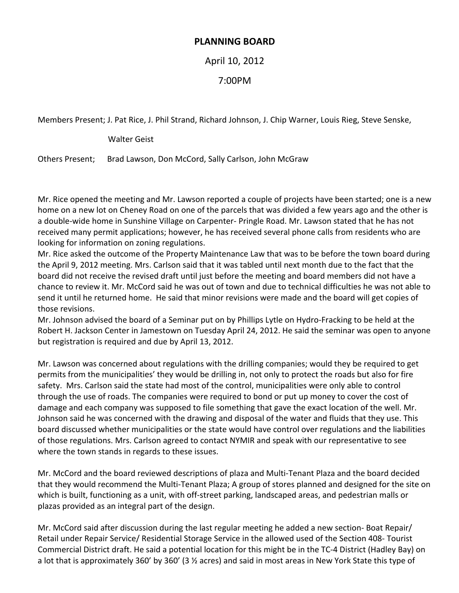## **PLANNING BOARD**

April 10, 2012

## 7:00PM

Members Present; J. Pat Rice, J. Phil Strand, Richard Johnson, J. Chip Warner, Louis Rieg, Steve Senske,

Walter Geist

Others Present; Brad Lawson, Don McCord, Sally Carlson, John McGraw

Mr. Rice opened the meeting and Mr. Lawson reported a couple of projects have been started; one is a new home on a new lot on Cheney Road on one of the parcels that was divided a few years ago and the other is a double-wide home in Sunshine Village on Carpenter- Pringle Road. Mr. Lawson stated that he has not received many permit applications; however, he has received several phone calls from residents who are looking for information on zoning regulations.

Mr. Rice asked the outcome of the Property Maintenance Law that was to be before the town board during the April 9, 2012 meeting. Mrs. Carlson said that it was tabled until next month due to the fact that the board did not receive the revised draft until just before the meeting and board members did not have a chance to review it. Mr. McCord said he was out of town and due to technical difficulties he was not able to send it until he returned home. He said that minor revisions were made and the board will get copies of those revisions.

Mr. Johnson advised the board of a Seminar put on by Phillips Lytle on Hydro-Fracking to be held at the Robert H. Jackson Center in Jamestown on Tuesday April 24, 2012. He said the seminar was open to anyone but registration is required and due by April 13, 2012.

Mr. Lawson was concerned about regulations with the drilling companies; would they be required to get permits from the municipalities' they would be drilling in, not only to protect the roads but also for fire safety. Mrs. Carlson said the state had most of the control, municipalities were only able to control through the use of roads. The companies were required to bond or put up money to cover the cost of damage and each company was supposed to file something that gave the exact location of the well. Mr. Johnson said he was concerned with the drawing and disposal of the water and fluids that they use. This board discussed whether municipalities or the state would have control over regulations and the liabilities of those regulations. Mrs. Carlson agreed to contact NYMIR and speak with our representative to see where the town stands in regards to these issues.

Mr. McCord and the board reviewed descriptions of plaza and Multi-Tenant Plaza and the board decided that they would recommend the Multi-Tenant Plaza; A group of stores planned and designed for the site on which is built, functioning as a unit, with off-street parking, landscaped areas, and pedestrian malls or plazas provided as an integral part of the design.

Mr. McCord said after discussion during the last regular meeting he added a new section- Boat Repair/ Retail under Repair Service/ Residential Storage Service in the allowed used of the Section 408- Tourist Commercial District draft. He said a potential location for this might be in the TC-4 District (Hadley Bay) on a lot that is approximately 360' by 360' (3 ½ acres) and said in most areas in New York State this type of